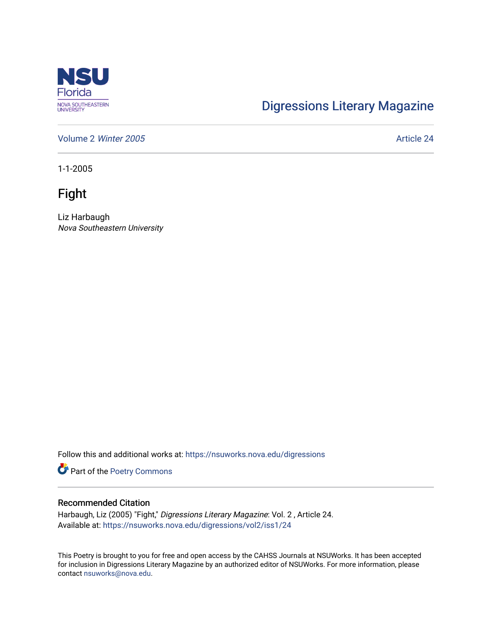

## [Digressions Literary Magazine](https://nsuworks.nova.edu/digressions)

[Volume 2](https://nsuworks.nova.edu/digressions/vol2) Winter 2005 **Article 24** Article 24

1-1-2005

Fight

Liz Harbaugh Nova Southeastern University

Follow this and additional works at: [https://nsuworks.nova.edu/digressions](https://nsuworks.nova.edu/digressions?utm_source=nsuworks.nova.edu%2Fdigressions%2Fvol2%2Fiss1%2F24&utm_medium=PDF&utm_campaign=PDFCoverPages) 

Part of the [Poetry Commons](http://network.bepress.com/hgg/discipline/1153?utm_source=nsuworks.nova.edu%2Fdigressions%2Fvol2%2Fiss1%2F24&utm_medium=PDF&utm_campaign=PDFCoverPages) 

## Recommended Citation

Harbaugh, Liz (2005) "Fight," Digressions Literary Magazine: Vol. 2 , Article 24. Available at: [https://nsuworks.nova.edu/digressions/vol2/iss1/24](https://nsuworks.nova.edu/digressions/vol2/iss1/24?utm_source=nsuworks.nova.edu%2Fdigressions%2Fvol2%2Fiss1%2F24&utm_medium=PDF&utm_campaign=PDFCoverPages) 

This Poetry is brought to you for free and open access by the CAHSS Journals at NSUWorks. It has been accepted for inclusion in Digressions Literary Magazine by an authorized editor of NSUWorks. For more information, please contact [nsuworks@nova.edu.](mailto:nsuworks@nova.edu)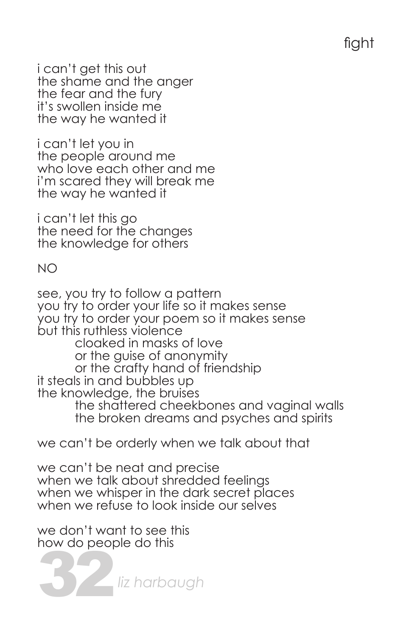i can't get this out the shame and the anger the fear and the fury it's swollen inside me the way he wanted it

i can't let you in the people around me who love each other and me i'm scared they will break me the way he wanted it

i can't let this go the need for the changes the knowledge for others

NO

see, you try to follow a pattern you try to order your life so it makes sense you try to order your poem so it makes sense but this ruthless violence cloaked in masks of love or the guise of anonymity or the crafty hand of friendship it steals in and bubbles up the knowledge, the bruises the shattered cheekbones and vaginal walls the broken dreams and psyches and spirits

we can't be orderly when we talk about that

we can't be neat and precise when we talk about shredded feelings when we whisper in the dark secret places when we refuse to look inside our selves

we don't want to see this how do people do this

32*liz harbaugh*